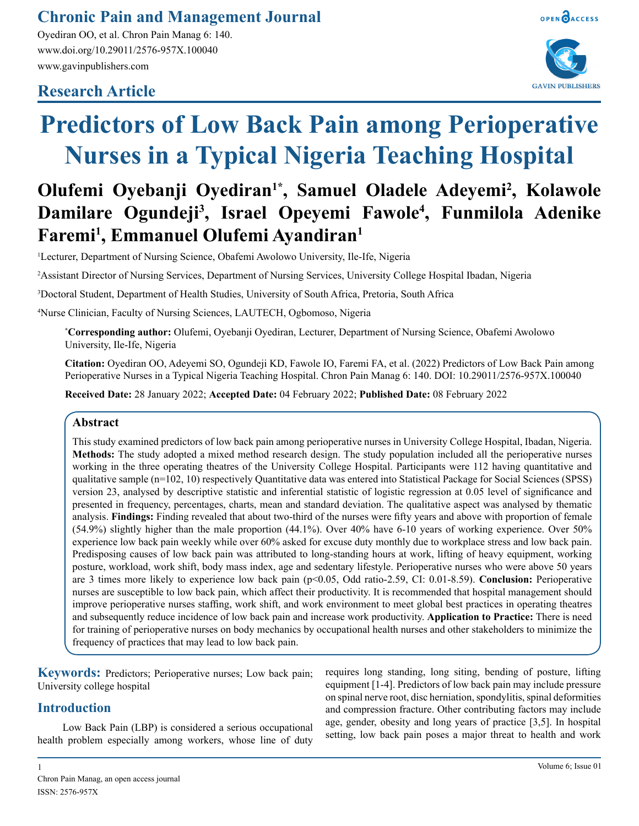# **Chronic Pain and Management Journal**

Oyediran OO, et al. Chron Pain Manag 6: 140. www.doi.org/10.29011/2576-957X.100040 www.gavinpublishers.com

# **Research Article**





# **Predictors of Low Back Pain among Perioperative Nurses in a Typical Nigeria Teaching Hospital**

# Olufemi Oyebanji Oyediran<sup>1\*</sup>, Samuel Oladele Adeyemi<sup>2</sup>, Kolawole **Damilare Ogundeji3 , Israel Opeyemi Fawole4 , Funmilola Adenike Faremi1 , Emmanuel Olufemi Ayandiran1**

1 Lecturer, Department of Nursing Science, Obafemi Awolowo University, Ile-Ife, Nigeria

2 Assistant Director of Nursing Services, Department of Nursing Services, University College Hospital Ibadan, Nigeria

3 Doctoral Student, Department of Health Studies, University of South Africa, Pretoria, South Africa

4 Nurse Clinician, Faculty of Nursing Sciences, LAUTECH, Ogbomoso, Nigeria

**\* Corresponding author:** Olufemi, Oyebanji Oyediran, Lecturer, Department of Nursing Science, Obafemi Awolowo University, Ile-Ife, Nigeria

**Citation:** Oyediran OO, Adeyemi SO, Ogundeji KD, Fawole IO, Faremi FA, et al. (2022) Predictors of Low Back Pain among Perioperative Nurses in a Typical Nigeria Teaching Hospital. Chron Pain Manag 6: 140. DOI: 10.29011/2576-957X.100040

**Received Date:** 28 January 2022; **Accepted Date:** 04 February 2022; **Published Date:** 08 February 2022

# **Abstract**

This study examined predictors of low back pain among perioperative nurses in University College Hospital, Ibadan, Nigeria. **Methods:** The study adopted a mixed method research design. The study population included all the perioperative nurses working in the three operating theatres of the University College Hospital. Participants were 112 having quantitative and qualitative sample (n=102, 10) respectively Quantitative data was entered into Statistical Package for Social Sciences (SPSS) version 23, analysed by descriptive statistic and inferential statistic of logistic regression at 0.05 level of significance and presented in frequency, percentages, charts, mean and standard deviation. The qualitative aspect was analysed by thematic analysis. **Findings:** Finding revealed that about two-third of the nurses were fifty years and above with proportion of female (54.9%) slightly higher than the male proportion (44.1%). Over 40% have 6-10 years of working experience. Over 50% experience low back pain weekly while over 60% asked for excuse duty monthly due to workplace stress and low back pain. Predisposing causes of low back pain was attributed to long-standing hours at work, lifting of heavy equipment, working posture, workload, work shift, body mass index, age and sedentary lifestyle. Perioperative nurses who were above 50 years are 3 times more likely to experience low back pain (p<0.05, Odd ratio-2.59, CI: 0.01-8.59). **Conclusion:** Perioperative nurses are susceptible to low back pain, which affect their productivity. It is recommended that hospital management should improve perioperative nurses staffing, work shift, and work environment to meet global best practices in operating theatres and subsequently reduce incidence of low back pain and increase work productivity. **Application to Practice:** There is need for training of perioperative nurses on body mechanics by occupational health nurses and other stakeholders to minimize the frequency of practices that may lead to low back pain.

**Keywords:** Predictors; Perioperative nurses; Low back pain; University college hospital

# **Introduction**

Low Back Pain (LBP) is considered a serious occupational health problem especially among workers, whose line of duty requires long standing, long siting, bending of posture, lifting equipment [1-4]. Predictors of low back pain may include pressure on spinal nerve root, disc herniation, spondylitis, spinal deformities and compression fracture. Other contributing factors may include age, gender, obesity and long years of practice [3,5]. In hospital setting, low back pain poses a major threat to health and work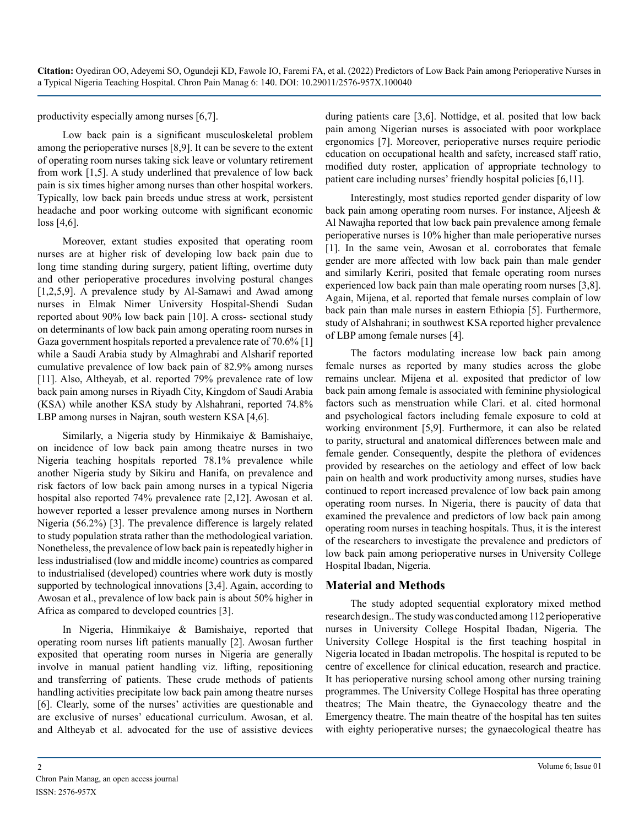productivity especially among nurses [6,7].

Low back pain is a significant musculoskeletal problem among the perioperative nurses [8,9]. It can be severe to the extent of operating room nurses taking sick leave or voluntary retirement from work [1,5]. A study underlined that prevalence of low back pain is six times higher among nurses than other hospital workers. Typically, low back pain breeds undue stress at work, persistent headache and poor working outcome with significant economic loss [4,6].

Moreover, extant studies exposited that operating room nurses are at higher risk of developing low back pain due to long time standing during surgery, patient lifting, overtime duty and other perioperative procedures involving postural changes [1,2,5,9]. A prevalence study by Al-Samawi and Awad among nurses in Elmak Nimer University Hospital-Shendi Sudan reported about 90% low back pain [10]. A cross- sectional study on determinants of low back pain among operating room nurses in Gaza government hospitals reported a prevalence rate of 70.6% [1] while a Saudi Arabia study by Almaghrabi and Alsharif reported cumulative prevalence of low back pain of 82.9% among nurses [11]. Also, Altheyab, et al. reported 79% prevalence rate of low back pain among nurses in Riyadh City, Kingdom of Saudi Arabia (KSA) while another KSA study by Alshahrani, reported 74.8% LBP among nurses in Najran, south western KSA [4,6].

Similarly, a Nigeria study by Hinmikaiye & Bamishaiye, on incidence of low back pain among theatre nurses in two Nigeria teaching hospitals reported 78.1% prevalence while another Nigeria study by Sikiru and Hanifa, on prevalence and risk factors of low back pain among nurses in a typical Nigeria hospital also reported 74% prevalence rate [2,12]. Awosan et al. however reported a lesser prevalence among nurses in Northern Nigeria (56.2%) [3]. The prevalence difference is largely related to study population strata rather than the methodological variation. Nonetheless, the prevalence of low back pain is repeatedly higher in less industrialised (low and middle income) countries as compared to industrialised (developed) countries where work duty is mostly supported by technological innovations [3,4]. Again, according to Awosan et al., prevalence of low back pain is about 50% higher in Africa as compared to developed countries [3].

In Nigeria, Hinmikaiye & Bamishaiye, reported that operating room nurses lift patients manually [2]. Awosan further exposited that operating room nurses in Nigeria are generally involve in manual patient handling viz. lifting, repositioning and transferring of patients. These crude methods of patients handling activities precipitate low back pain among theatre nurses [6]. Clearly, some of the nurses' activities are questionable and are exclusive of nurses' educational curriculum. Awosan, et al. and Altheyab et al. advocated for the use of assistive devices

during patients care [3,6]. Nottidge, et al. posited that low back pain among Nigerian nurses is associated with poor workplace ergonomics [7]. Moreover, perioperative nurses require periodic education on occupational health and safety, increased staff ratio, modified duty roster, application of appropriate technology to patient care including nurses' friendly hospital policies [6,11].

Interestingly, most studies reported gender disparity of low back pain among operating room nurses. For instance, Aljeesh & Al Nawajha reported that low back pain prevalence among female perioperative nurses is 10% higher than male perioperative nurses [1]. In the same vein, Awosan et al. corroborates that female gender are more affected with low back pain than male gender and similarly Keriri, posited that female operating room nurses experienced low back pain than male operating room nurses [3,8]. Again, Mijena, et al. reported that female nurses complain of low back pain than male nurses in eastern Ethiopia [5]. Furthermore, study of Alshahrani; in southwest KSA reported higher prevalence of LBP among female nurses [4].

The factors modulating increase low back pain among female nurses as reported by many studies across the globe remains unclear. Mijena et al. exposited that predictor of low back pain among female is associated with feminine physiological factors such as menstruation while Clari. et al. cited hormonal and psychological factors including female exposure to cold at working environment [5,9]. Furthermore, it can also be related to parity, structural and anatomical differences between male and female gender. Consequently, despite the plethora of evidences provided by researches on the aetiology and effect of low back pain on health and work productivity among nurses, studies have continued to report increased prevalence of low back pain among operating room nurses. In Nigeria, there is paucity of data that examined the prevalence and predictors of low back pain among operating room nurses in teaching hospitals. Thus, it is the interest of the researchers to investigate the prevalence and predictors of low back pain among perioperative nurses in University College Hospital Ibadan, Nigeria.

#### **Material and Methods**

The study adopted sequential exploratory mixed method research design.. The study was conducted among 112 perioperative nurses in University College Hospital Ibadan, Nigeria. The University College Hospital is the first teaching hospital in Nigeria located in Ibadan metropolis. The hospital is reputed to be centre of excellence for clinical education, research and practice. It has perioperative nursing school among other nursing training programmes. The University College Hospital has three operating theatres; The Main theatre, the Gynaecology theatre and the Emergency theatre. The main theatre of the hospital has ten suites with eighty perioperative nurses; the gynaecological theatre has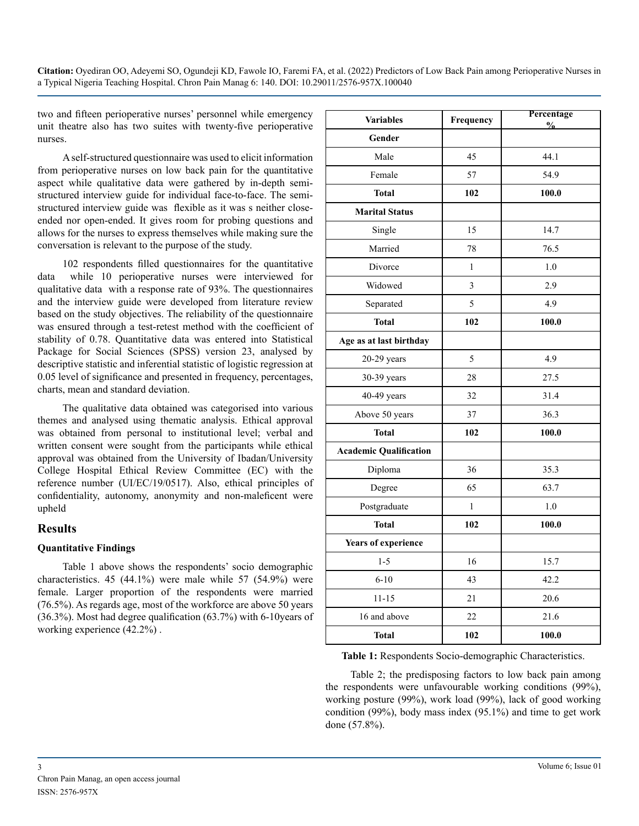two and fifteen perioperative nurses' personnel while emergency unit theatre also has two suites with twenty-five perioperative nurses.

A self-structured questionnaire was used to elicit information from perioperative nurses on low back pain for the quantitative aspect while qualitative data were gathered by in-depth semistructured interview guide for individual face-to-face. The semistructured interview guide was flexible as it was s neither closeended nor open-ended. It gives room for probing questions and allows for the nurses to express themselves while making sure the conversation is relevant to the purpose of the study.

102 respondents filled questionnaires for the quantitative data while 10 perioperative nurses were interviewed for qualitative data with a response rate of 93%. The questionnaires and the interview guide were developed from literature review based on the study objectives. The reliability of the questionnaire was ensured through a test-retest method with the coefficient of stability of 0.78. Quantitative data was entered into Statistical Package for Social Sciences (SPSS) version 23, analysed by descriptive statistic and inferential statistic of logistic regression at 0.05 level of significance and presented in frequency, percentages, charts, mean and standard deviation.

The qualitative data obtained was categorised into various themes and analysed using thematic analysis. Ethical approval was obtained from personal to institutional level; verbal and written consent were sought from the participants while ethical approval was obtained from the University of Ibadan/University College Hospital Ethical Review Committee (EC) with the reference number (UI/EC/19/0517). Also, ethical principles of confidentiality, autonomy, anonymity and non-maleficent were upheld

# **Results**

#### **Quantitative Findings**

Table 1 above shows the respondents' socio demographic characteristics. 45 (44.1%) were male while 57 (54.9%) were female. Larger proportion of the respondents were married (76.5%). As regards age, most of the workforce are above 50 years (36.3%). Most had degree qualification (63.7%) with 6-10years of working experience (42.2%) .

| <b>Variables</b>              | Frequency    | Percentage<br>$\frac{6}{9}$ |
|-------------------------------|--------------|-----------------------------|
| Gender                        |              |                             |
| Male                          | 45           | 44.1                        |
| Female                        | 57           | 54.9                        |
| <b>Total</b>                  | 102          | 100.0                       |
| <b>Marital Status</b>         |              |                             |
| Single                        | 15           | 14.7                        |
| Married                       | 78           | 76.5                        |
| Divorce                       | $\mathbf{1}$ | 1.0                         |
| Widowed                       | 3            | 2.9                         |
| Separated                     | 5            | 4.9                         |
| <b>Total</b>                  | 102          | 100.0                       |
| Age as at last birthday       |              |                             |
| $20-29$ years                 | 5            | 4.9                         |
| 30-39 years                   | 28           | 27.5                        |
| 40-49 years                   | 32           | 31.4                        |
| Above 50 years                | 37           | 36.3                        |
| <b>Total</b>                  | 102          | 100.0                       |
| <b>Academic Qualification</b> |              |                             |
| Diploma                       | 36           | 35.3                        |
| Degree                        | 65           | 63.7                        |
| Postgraduate                  | $\mathbf{1}$ | 1.0                         |
| <b>Total</b>                  | 102          | 100.0                       |
| Years of experience           |              |                             |
| $1 - 5$                       | 16           | 15.7                        |
| $6 - 10$                      | 43           | 42.2                        |
| $11 - 15$                     | 21           | 20.6                        |
| 16 and above                  | 22           | 21.6                        |
| <b>Total</b>                  | 102          | 100.0                       |

**Table 1:** Respondents Socio-demographic Characteristics.

Table 2; the predisposing factors to low back pain among the respondents were unfavourable working conditions (99%), working posture (99%), work load (99%), lack of good working condition (99%), body mass index (95.1%) and time to get work done (57.8%).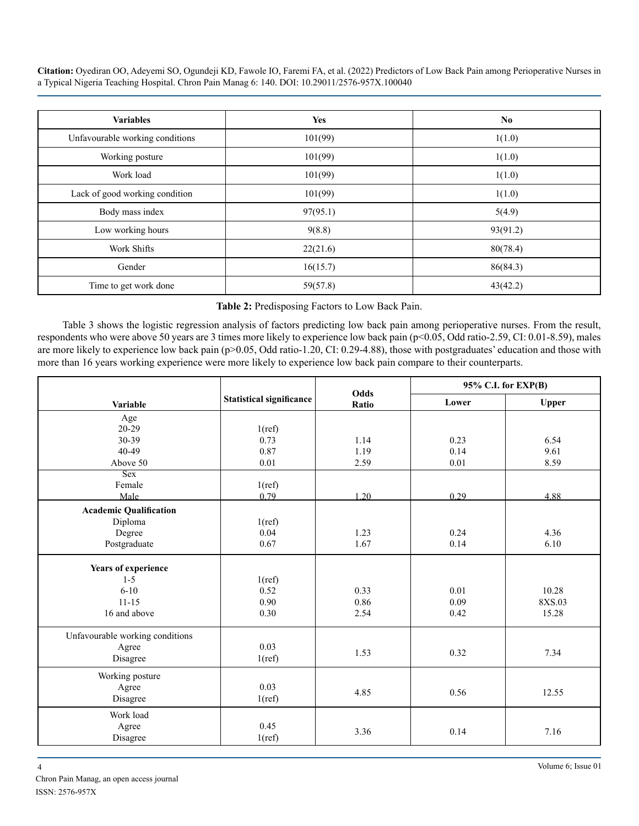| <b>Variables</b>                | <b>Yes</b> | N <sub>0</sub> |
|---------------------------------|------------|----------------|
| Unfavourable working conditions | 101(99)    | 1(1.0)         |
| Working posture                 | 101(99)    | 1(1.0)         |
| Work load                       | 101(99)    | 1(1.0)         |
| Lack of good working condition  | 101(99)    | 1(1.0)         |
| Body mass index                 | 97(95.1)   | 5(4.9)         |
| Low working hours               | 9(8.8)     | 93(91.2)       |
| Work Shifts                     | 22(21.6)   | 80(78.4)       |
| Gender                          | 16(15.7)   | 86(84.3)       |
| Time to get work done           | 59(57.8)   | 43(42.2)       |

**Table 2:** Predisposing Factors to Low Back Pain.

Table 3 shows the logistic regression analysis of factors predicting low back pain among perioperative nurses. From the result, respondents who were above 50 years are 3 times more likely to experience low back pain (p<0.05, Odd ratio-2.59, CI: 0.01-8.59), males are more likely to experience low back pain (p>0.05, Odd ratio-1.20, CI: 0.29-4.88), those with postgraduates' education and those with more than 16 years working experience were more likely to experience low back pain compare to their counterparts.

|                                 |                          | Odds  | 95% C.I. for EXP(B) |              |
|---------------------------------|--------------------------|-------|---------------------|--------------|
| Variable                        | Statistical significance | Ratio | Lower               | <b>Upper</b> |
| Age                             |                          |       |                     |              |
| $20 - 29$                       | 1(ref)                   |       |                     |              |
| 30-39                           | 0.73                     | 1.14  | 0.23                | 6.54         |
| 40-49                           | 0.87                     | 1.19  | 0.14                | 9.61         |
| Above 50                        | 0.01                     | 2.59  | 0.01                | 8.59         |
| Sex                             |                          |       |                     |              |
| Female                          | 1(ref)                   |       |                     |              |
| Male                            | 0.79                     | 1.20  | 0.29                | 4.88         |
| <b>Academic Qualification</b>   |                          |       |                     |              |
| Diploma                         | 1(ref)                   |       |                     |              |
| Degree                          | 0.04                     | 1.23  | 0.24                | 4.36         |
| Postgraduate                    | 0.67                     | 1.67  | 0.14                | 6.10         |
| Years of experience             |                          |       |                     |              |
| $1 - 5$                         | 1(ref)                   |       |                     |              |
| $6 - 10$                        | 0.52                     | 0.33  | 0.01                | 10.28        |
| $11 - 15$                       | 0.90                     | 0.86  | 0.09                | 8XS.03       |
| 16 and above                    | 0.30                     | 2.54  | 0.42                | 15.28        |
| Unfavourable working conditions |                          |       |                     |              |
| Agree                           | 0.03                     |       |                     |              |
| Disagree                        | 1(ref)                   | 1.53  | 0.32                | 7.34         |
| Working posture                 |                          |       |                     |              |
| Agree                           | 0.03                     |       |                     |              |
| Disagree                        | 1(ref)                   | 4.85  | 0.56                | 12.55        |
| Work load                       |                          |       |                     |              |
| Agree                           | 0.45                     | 3.36  | 0.14                | 7.16         |
| Disagree                        | 1(ref)                   |       |                     |              |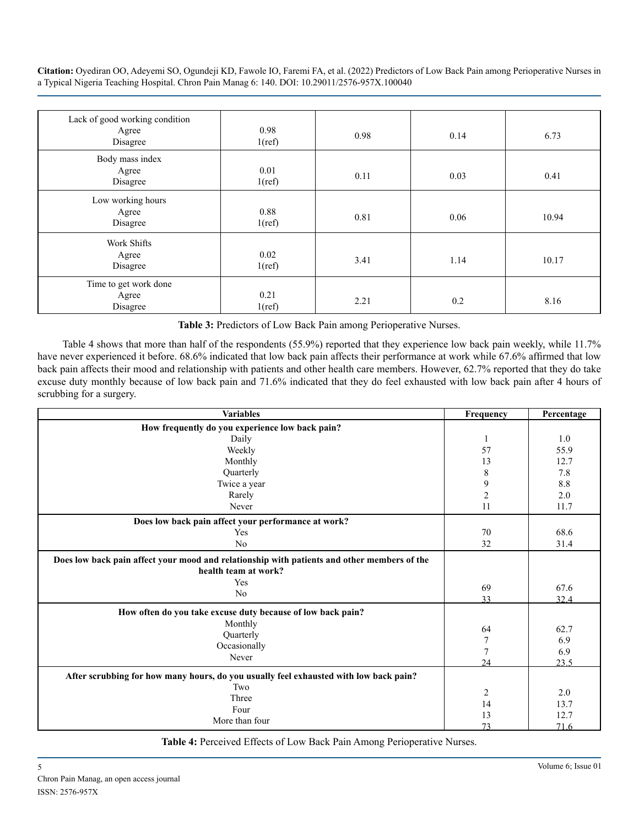| Lack of good working condition<br>Agree<br>Disagree | 0.98<br>1(ref) | 0.98 | 0.14 | 6.73  |
|-----------------------------------------------------|----------------|------|------|-------|
| Body mass index<br>Agree<br>Disagree                | 0.01<br>1(ref) | 0.11 | 0.03 | 0.41  |
| Low working hours<br>Agree<br>Disagree              | 0.88<br>1(ref) | 0.81 | 0.06 | 10.94 |
| Work Shifts<br>Agree<br>Disagree                    | 0.02<br>1(ref) | 3.41 | 1.14 | 10.17 |
| Time to get work done<br>Agree<br>Disagree          | 0.21<br>1(ref) | 2.21 | 0.2  | 8.16  |

**Table 3:** Predictors of Low Back Pain among Perioperative Nurses.

Table 4 shows that more than half of the respondents (55.9%) reported that they experience low back pain weekly, while 11.7% have never experienced it before. 68.6% indicated that low back pain affects their performance at work while 67.6% affirmed that low back pain affects their mood and relationship with patients and other health care members. However, 62.7% reported that they do take excuse duty monthly because of low back pain and 71.6% indicated that they do feel exhausted with low back pain after 4 hours of scrubbing for a surgery.

| How frequently do you experience low back pain?<br>1.0<br>Daily<br>1<br>57<br>55.9<br>Weekly<br>Monthly<br>13<br>12.7<br>Quarterly<br>7.8<br>8<br>9<br>8.8<br>Twice a year<br>$\overline{c}$<br>2.0<br>Rarely<br>11<br>Never<br>11.7<br>Does low back pain affect your performance at work?<br>70<br>68.6<br>Yes<br>N <sub>0</sub><br>32<br>31.4<br>Does low back pain affect your mood and relationship with patients and other members of the<br>health team at work?<br>Yes<br>69<br>67.6<br>No<br>33<br>32.4<br>How often do you take excuse duty because of low back pain? | <b>Variables</b> | Frequency | Percentage |
|---------------------------------------------------------------------------------------------------------------------------------------------------------------------------------------------------------------------------------------------------------------------------------------------------------------------------------------------------------------------------------------------------------------------------------------------------------------------------------------------------------------------------------------------------------------------------------|------------------|-----------|------------|
|                                                                                                                                                                                                                                                                                                                                                                                                                                                                                                                                                                                 |                  |           |            |
|                                                                                                                                                                                                                                                                                                                                                                                                                                                                                                                                                                                 |                  |           |            |
|                                                                                                                                                                                                                                                                                                                                                                                                                                                                                                                                                                                 |                  |           |            |
|                                                                                                                                                                                                                                                                                                                                                                                                                                                                                                                                                                                 |                  |           |            |
|                                                                                                                                                                                                                                                                                                                                                                                                                                                                                                                                                                                 |                  |           |            |
|                                                                                                                                                                                                                                                                                                                                                                                                                                                                                                                                                                                 |                  |           |            |
|                                                                                                                                                                                                                                                                                                                                                                                                                                                                                                                                                                                 |                  |           |            |
|                                                                                                                                                                                                                                                                                                                                                                                                                                                                                                                                                                                 |                  |           |            |
|                                                                                                                                                                                                                                                                                                                                                                                                                                                                                                                                                                                 |                  |           |            |
|                                                                                                                                                                                                                                                                                                                                                                                                                                                                                                                                                                                 |                  |           |            |
|                                                                                                                                                                                                                                                                                                                                                                                                                                                                                                                                                                                 |                  |           |            |
|                                                                                                                                                                                                                                                                                                                                                                                                                                                                                                                                                                                 |                  |           |            |
|                                                                                                                                                                                                                                                                                                                                                                                                                                                                                                                                                                                 |                  |           |            |
|                                                                                                                                                                                                                                                                                                                                                                                                                                                                                                                                                                                 |                  |           |            |
| 64<br>62.7<br>Quarterly<br>$\boldsymbol{7}$<br>6.9<br>Occasionally<br>$\overline{7}$<br>6.9<br>Never                                                                                                                                                                                                                                                                                                                                                                                                                                                                            | Monthly          |           |            |
| 24<br>23.5                                                                                                                                                                                                                                                                                                                                                                                                                                                                                                                                                                      |                  |           |            |
| After scrubbing for how many hours, do you usually feel exhausted with low back pain?<br>Two                                                                                                                                                                                                                                                                                                                                                                                                                                                                                    |                  |           |            |
| 2.0<br>2<br>Three                                                                                                                                                                                                                                                                                                                                                                                                                                                                                                                                                               |                  |           |            |
| 14<br>13.7<br>Four                                                                                                                                                                                                                                                                                                                                                                                                                                                                                                                                                              |                  |           |            |
| 13<br>12.7<br>More than four<br>73<br>71.6                                                                                                                                                                                                                                                                                                                                                                                                                                                                                                                                      |                  |           |            |

**Table 4:** Perceived Effects of Low Back Pain Among Perioperative Nurses.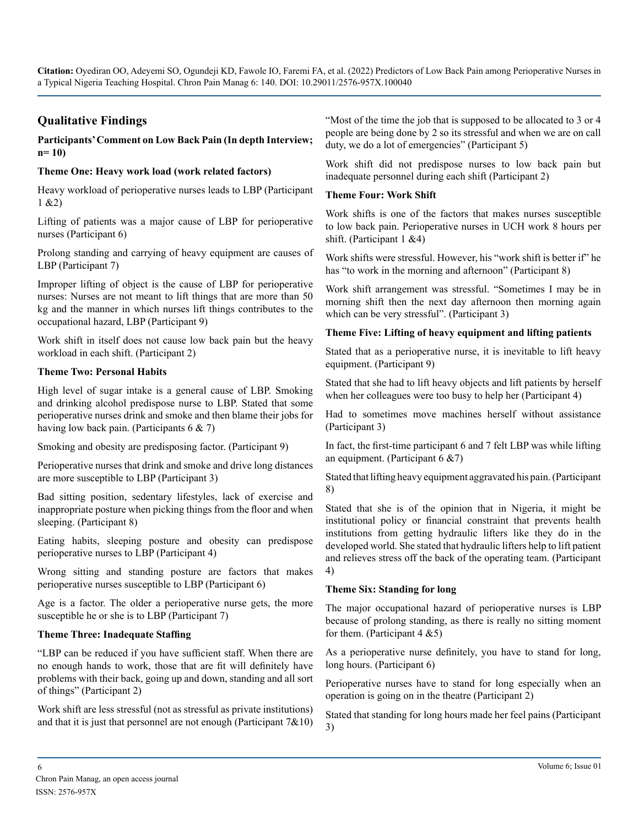# **Qualitative Findings**

#### **Participants' Comment on Low Back Pain (In depth Interview; n= 10)**

#### **Theme One: Heavy work load (work related factors)**

Heavy workload of perioperative nurses leads to LBP (Participant 1 &2)

Lifting of patients was a major cause of LBP for perioperative nurses (Participant 6)

Prolong standing and carrying of heavy equipment are causes of LBP (Participant 7)

Improper lifting of object is the cause of LBP for perioperative nurses: Nurses are not meant to lift things that are more than 50 kg and the manner in which nurses lift things contributes to the occupational hazard, LBP (Participant 9)

Work shift in itself does not cause low back pain but the heavy workload in each shift. (Participant 2)

#### **Theme Two: Personal Habits**

High level of sugar intake is a general cause of LBP. Smoking and drinking alcohol predispose nurse to LBP. Stated that some perioperative nurses drink and smoke and then blame their jobs for having low back pain. (Participants 6 & 7)

Smoking and obesity are predisposing factor. (Participant 9)

Perioperative nurses that drink and smoke and drive long distances are more susceptible to LBP (Participant 3)

Bad sitting position, sedentary lifestyles, lack of exercise and inappropriate posture when picking things from the floor and when sleeping. (Participant 8)

Eating habits, sleeping posture and obesity can predispose perioperative nurses to LBP (Participant 4)

Wrong sitting and standing posture are factors that makes perioperative nurses susceptible to LBP (Participant 6)

Age is a factor. The older a perioperative nurse gets, the more susceptible he or she is to LBP (Participant 7)

#### **Theme Three: Inadequate Staffing**

"LBP can be reduced if you have sufficient staff. When there are no enough hands to work, those that are fit will definitely have problems with their back, going up and down, standing and all sort of things" (Participant 2)

Work shift are less stressful (not as stressful as private institutions) and that it is just that personnel are not enough (Participant  $7&0$ ) "Most of the time the job that is supposed to be allocated to 3 or 4 people are being done by 2 so its stressful and when we are on call duty, we do a lot of emergencies" (Participant 5)

Work shift did not predispose nurses to low back pain but inadequate personnel during each shift (Participant 2)

#### **Theme Four: Work Shift**

Work shifts is one of the factors that makes nurses susceptible to low back pain. Perioperative nurses in UCH work 8 hours per shift. (Participant 1 &4)

Work shifts were stressful. However, his "work shift is better if" he has "to work in the morning and afternoon" (Participant 8)

Work shift arrangement was stressful. "Sometimes I may be in morning shift then the next day afternoon then morning again which can be very stressful". (Participant 3)

#### **Theme Five: Lifting of heavy equipment and lifting patients**

Stated that as a perioperative nurse, it is inevitable to lift heavy equipment. (Participant 9)

Stated that she had to lift heavy objects and lift patients by herself when her colleagues were too busy to help her (Participant 4)

Had to sometimes move machines herself without assistance (Participant 3)

In fact, the first-time participant 6 and 7 felt LBP was while lifting an equipment. (Participant 6 &7)

Stated that lifting heavy equipment aggravated his pain. (Participant 8)

Stated that she is of the opinion that in Nigeria, it might be institutional policy or financial constraint that prevents health institutions from getting hydraulic lifters like they do in the developed world. She stated that hydraulic lifters help to lift patient and relieves stress off the back of the operating team. (Participant 4)

#### **Theme Six: Standing for long**

The major occupational hazard of perioperative nurses is LBP because of prolong standing, as there is really no sitting moment for them. (Participant  $4 \& 5$ )

As a perioperative nurse definitely, you have to stand for long, long hours. (Participant 6)

Perioperative nurses have to stand for long especially when an operation is going on in the theatre (Participant 2)

Stated that standing for long hours made her feel pains (Participant 3)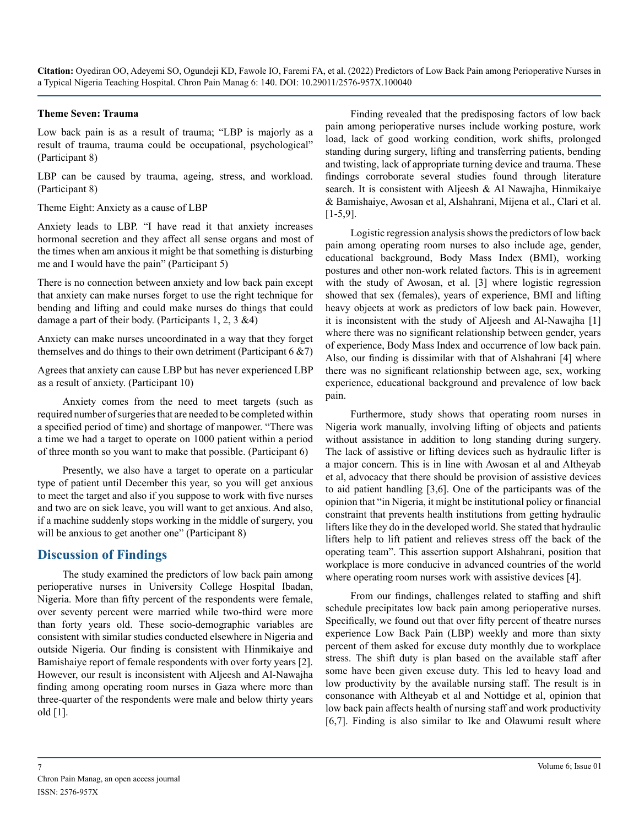#### **Theme Seven: Trauma**

Low back pain is as a result of trauma; "LBP is majorly as a result of trauma, trauma could be occupational, psychological" (Participant 8)

LBP can be caused by trauma, ageing, stress, and workload. (Participant 8)

Theme Eight: Anxiety as a cause of LBP

Anxiety leads to LBP. "I have read it that anxiety increases hormonal secretion and they affect all sense organs and most of the times when am anxious it might be that something is disturbing me and I would have the pain" (Participant 5)

There is no connection between anxiety and low back pain except that anxiety can make nurses forget to use the right technique for bending and lifting and could make nurses do things that could damage a part of their body. (Participants 1, 2, 3 &4)

Anxiety can make nurses uncoordinated in a way that they forget themselves and do things to their own detriment (Participant  $6 \& 7$ )

Agrees that anxiety can cause LBP but has never experienced LBP as a result of anxiety. (Participant 10)

Anxiety comes from the need to meet targets (such as required number of surgeries that are needed to be completed within a specified period of time) and shortage of manpower. "There was a time we had a target to operate on 1000 patient within a period of three month so you want to make that possible. (Participant 6)

Presently, we also have a target to operate on a particular type of patient until December this year, so you will get anxious to meet the target and also if you suppose to work with five nurses and two are on sick leave, you will want to get anxious. And also, if a machine suddenly stops working in the middle of surgery, you will be anxious to get another one" (Participant 8)

#### **Discussion of Findings**

The study examined the predictors of low back pain among perioperative nurses in University College Hospital Ibadan, Nigeria. More than fifty percent of the respondents were female, over seventy percent were married while two-third were more than forty years old. These socio-demographic variables are consistent with similar studies conducted elsewhere in Nigeria and outside Nigeria. Our finding is consistent with Hinmikaiye and Bamishaiye report of female respondents with over forty years [2]. However, our result is inconsistent with Aljeesh and Al-Nawajha finding among operating room nurses in Gaza where more than three-quarter of the respondents were male and below thirty years old [1].

Finding revealed that the predisposing factors of low back pain among perioperative nurses include working posture, work load, lack of good working condition, work shifts, prolonged standing during surgery, lifting and transferring patients, bending and twisting, lack of appropriate turning device and trauma. These findings corroborate several studies found through literature search. It is consistent with Aljeesh & Al Nawajha, Hinmikaiye & Bamishaiye, Awosan et al, Alshahrani, Mijena et al., Clari et al. [1-5,9].

Logistic regression analysis shows the predictors of low back pain among operating room nurses to also include age, gender, educational background, Body Mass Index (BMI), working postures and other non-work related factors. This is in agreement with the study of Awosan, et al. [3] where logistic regression showed that sex (females), years of experience, BMI and lifting heavy objects at work as predictors of low back pain. However, it is inconsistent with the study of Aljeesh and Al-Nawajha [1] where there was no significant relationship between gender, years of experience, Body Mass Index and occurrence of low back pain. Also, our finding is dissimilar with that of Alshahrani [4] where there was no significant relationship between age, sex, working experience, educational background and prevalence of low back pain.

Furthermore, study shows that operating room nurses in Nigeria work manually, involving lifting of objects and patients without assistance in addition to long standing during surgery. The lack of assistive or lifting devices such as hydraulic lifter is a major concern. This is in line with Awosan et al and Altheyab et al, advocacy that there should be provision of assistive devices to aid patient handling [3,6]. One of the participants was of the opinion that "in Nigeria, it might be institutional policy or financial constraint that prevents health institutions from getting hydraulic lifters like they do in the developed world. She stated that hydraulic lifters help to lift patient and relieves stress off the back of the operating team". This assertion support Alshahrani, position that workplace is more conducive in advanced countries of the world where operating room nurses work with assistive devices [4].

From our findings, challenges related to staffing and shift schedule precipitates low back pain among perioperative nurses. Specifically, we found out that over fifty percent of theatre nurses experience Low Back Pain (LBP) weekly and more than sixty percent of them asked for excuse duty monthly due to workplace stress. The shift duty is plan based on the available staff after some have been given excuse duty. This led to heavy load and low productivity by the available nursing staff. The result is in consonance with Altheyab et al and Nottidge et al, opinion that low back pain affects health of nursing staff and work productivity [6,7]. Finding is also similar to Ike and Olawumi result where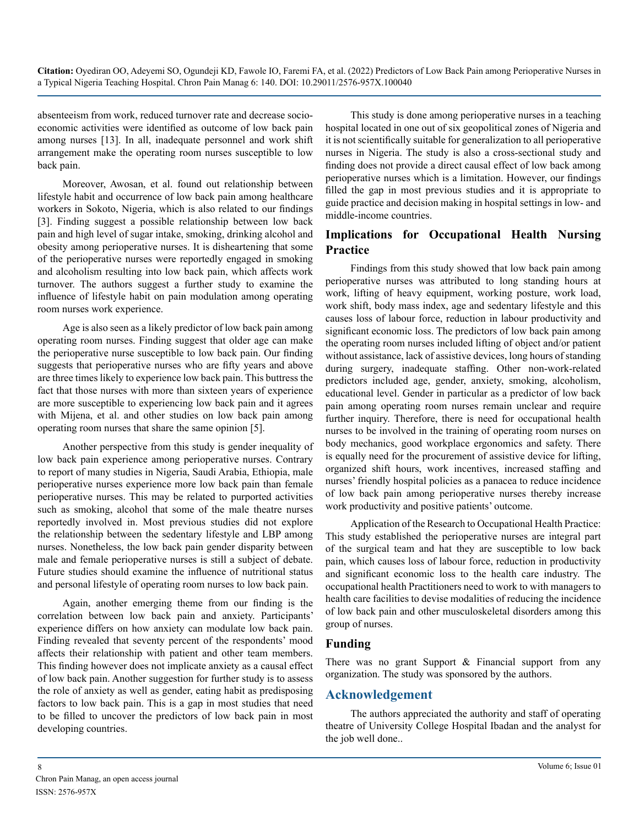absenteeism from work, reduced turnover rate and decrease socioeconomic activities were identified as outcome of low back pain among nurses [13]. In all, inadequate personnel and work shift arrangement make the operating room nurses susceptible to low back pain.

Moreover, Awosan, et al. found out relationship between lifestyle habit and occurrence of low back pain among healthcare workers in Sokoto, Nigeria, which is also related to our findings [3]. Finding suggest a possible relationship between low back pain and high level of sugar intake, smoking, drinking alcohol and obesity among perioperative nurses. It is disheartening that some of the perioperative nurses were reportedly engaged in smoking and alcoholism resulting into low back pain, which affects work turnover. The authors suggest a further study to examine the influence of lifestyle habit on pain modulation among operating room nurses work experience.

Age is also seen as a likely predictor of low back pain among operating room nurses. Finding suggest that older age can make the perioperative nurse susceptible to low back pain. Our finding suggests that perioperative nurses who are fifty years and above are three times likely to experience low back pain. This buttress the fact that those nurses with more than sixteen years of experience are more susceptible to experiencing low back pain and it agrees with Mijena, et al. and other studies on low back pain among operating room nurses that share the same opinion [5].

Another perspective from this study is gender inequality of low back pain experience among perioperative nurses. Contrary to report of many studies in Nigeria, Saudi Arabia, Ethiopia, male perioperative nurses experience more low back pain than female perioperative nurses. This may be related to purported activities such as smoking, alcohol that some of the male theatre nurses reportedly involved in. Most previous studies did not explore the relationship between the sedentary lifestyle and LBP among nurses. Nonetheless, the low back pain gender disparity between male and female perioperative nurses is still a subject of debate. Future studies should examine the influence of nutritional status and personal lifestyle of operating room nurses to low back pain.

Again, another emerging theme from our finding is the correlation between low back pain and anxiety. Participants' experience differs on how anxiety can modulate low back pain. Finding revealed that seventy percent of the respondents' mood affects their relationship with patient and other team members. This finding however does not implicate anxiety as a causal effect of low back pain. Another suggestion for further study is to assess the role of anxiety as well as gender, eating habit as predisposing factors to low back pain. This is a gap in most studies that need to be filled to uncover the predictors of low back pain in most developing countries.

This study is done among perioperative nurses in a teaching hospital located in one out of six geopolitical zones of Nigeria and it is not scientifically suitable for generalization to all perioperative nurses in Nigeria. The study is also a cross-sectional study and finding does not provide a direct causal effect of low back among perioperative nurses which is a limitation. However, our findings filled the gap in most previous studies and it is appropriate to guide practice and decision making in hospital settings in low- and middle-income countries.

# **Implications for Occupational Health Nursing Practice**

Findings from this study showed that low back pain among perioperative nurses was attributed to long standing hours at work, lifting of heavy equipment, working posture, work load, work shift, body mass index, age and sedentary lifestyle and this causes loss of labour force, reduction in labour productivity and significant economic loss. The predictors of low back pain among the operating room nurses included lifting of object and/or patient without assistance, lack of assistive devices, long hours of standing during surgery, inadequate staffing. Other non-work-related predictors included age, gender, anxiety, smoking, alcoholism, educational level. Gender in particular as a predictor of low back pain among operating room nurses remain unclear and require further inquiry. Therefore, there is need for occupational health nurses to be involved in the training of operating room nurses on body mechanics, good workplace ergonomics and safety. There is equally need for the procurement of assistive device for lifting, organized shift hours, work incentives, increased staffing and nurses' friendly hospital policies as a panacea to reduce incidence of low back pain among perioperative nurses thereby increase work productivity and positive patients' outcome.

Application of the Research to Occupational Health Practice: This study established the perioperative nurses are integral part of the surgical team and hat they are susceptible to low back pain, which causes loss of labour force, reduction in productivity and significant economic loss to the health care industry. The occupational health Practitioners need to work to with managers to health care facilities to devise modalities of reducing the incidence of low back pain and other musculoskeletal disorders among this group of nurses.

# **Funding**

There was no grant Support & Financial support from any organization. The study was sponsored by the authors.

# **Acknowledgement**

The authors appreciated the authority and staff of operating theatre of University College Hospital Ibadan and the analyst for the job well done..